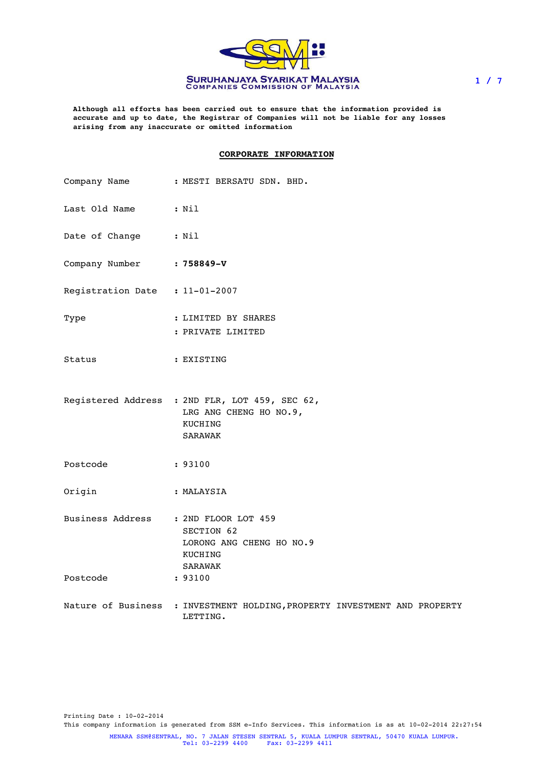

**Although all efforts has been carried out to ensure that the information provided is accurate and up to date, the Registrar of Companies will not be liable for any losses arising from any inaccurate or omitted information**

### **CORPORATE INFORMATION**

|                           | Company Name : MESTI BERSATU SDN. BHD.                                                                          |
|---------------------------|-----------------------------------------------------------------------------------------------------------------|
| Last Old Name : Nil       |                                                                                                                 |
| Date of Change : Nil      |                                                                                                                 |
| Company Number : 758849-V |                                                                                                                 |
|                           | Registration Date : 11-01-2007                                                                                  |
| Type                      | : LIMITED BY SHARES<br>: PRIVATE LIMITED                                                                        |
| Status                    | : EXISTING                                                                                                      |
|                           | Registered Address : 2ND FLR, LOT 459, SEC 62,<br>LRG ANG CHENG HO NO.9,<br>KUCHING<br><b>SARAWAK</b>           |
| Postcode                  | : 93100                                                                                                         |
| Origin                    | : MALAYSIA                                                                                                      |
| Postcode                  | Business Address : 2ND FLOOR LOT 459<br>SECTION 62<br>LORONG ANG CHENG HO NO.9<br>KUCHING<br>SARAWAK<br>: 93100 |
|                           | Nature of Business : INVESTMENT HOLDING, PROPERTY INVESTMENT AND PROPERTY<br>LETTING.                           |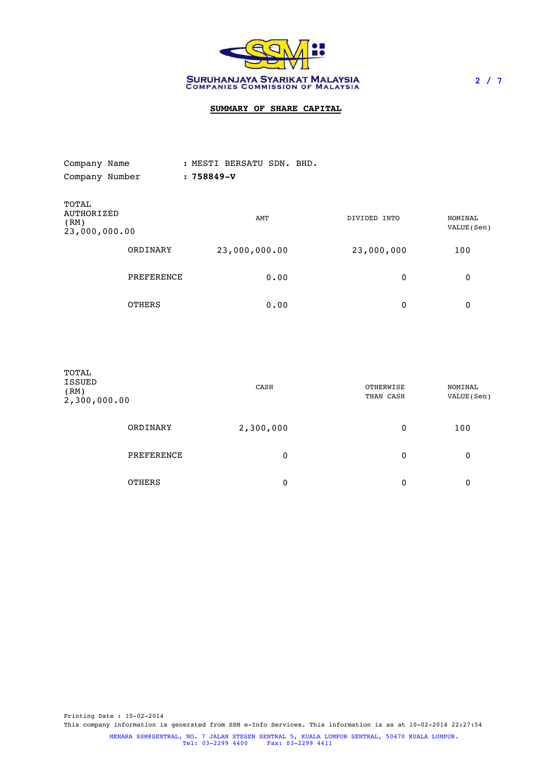

# **SUMMARY OF SHARE CAPITAL**

| Company Name                                 |               | : MESTI BERSATU SDN. BHD. |              |                        |
|----------------------------------------------|---------------|---------------------------|--------------|------------------------|
| Company Number                               |               | $:758849 - V$             |              |                        |
| TOTAL<br>AUTHORIZED<br>(RM)<br>23,000,000.00 |               | AMT                       | DIVIDED INTO | NOMINAL<br>VALUE (Sen) |
|                                              | ORDINARY      | 23,000,000.00             | 23,000,000   | 100                    |
|                                              | PREFERENCE    | 0.00                      | 0            | 0                      |
|                                              | <b>OTHERS</b> | 0.00                      | 0            | 0                      |

| TOTAL<br>ISSUED<br>(RM)<br>2,300,000.00 |               | CASH      | OTHERWISE<br>THAN CASH | NOMINAL<br>VALUE (Sen) |
|-----------------------------------------|---------------|-----------|------------------------|------------------------|
|                                         | ORDINARY      | 2,300,000 | 0                      | 100                    |
|                                         | PREFERENCE    | 0         | 0                      | 0                      |
|                                         | <b>OTHERS</b> | 0         | 0                      | 0                      |

MENARA SSM@SENTRAL, NO. 7 JALAN STESEN SENTRAL 5, KUALA LUMPUR SENTRAL, 50470 KUALA LUMPUR. Tel: 03-2299 4400 Fax: 03-2299 4411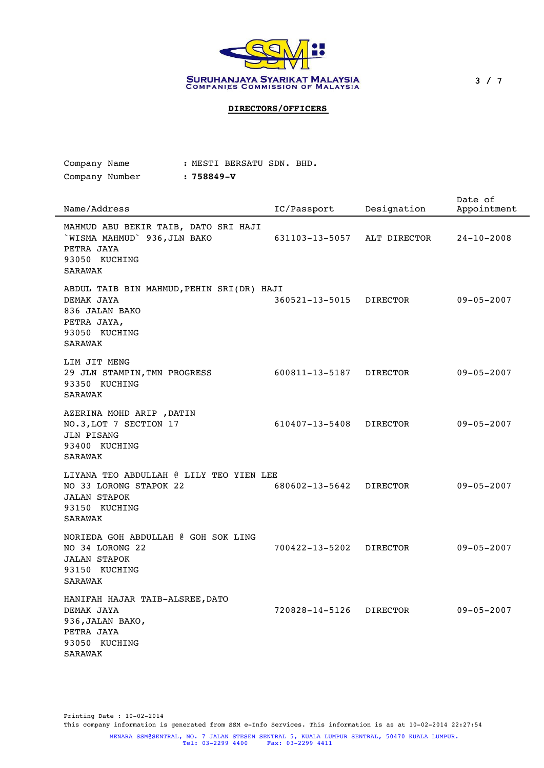

3 / 7

# **DIRECTORS/OFFICERS**

: MESTI BERSATU SDN. BHD.

Company Name

| Company Number<br>: 758849-V                                                                                                |                |                 |                        |
|-----------------------------------------------------------------------------------------------------------------------------|----------------|-----------------|------------------------|
| Name/Address                                                                                                                | IC/Passport    | Designation     | Date of<br>Appointment |
| MAHMUD ABU BEKIR TAIB, DATO SRI HAJI<br>`WISMA MAHMUD` 936, JLN BAKO<br>PETRA JAYA<br>93050 KUCHING<br><b>SARAWAK</b>       | 631103-13-5057 | ALT DIRECTOR    | $24 - 10 - 2008$       |
| ABDUL TAIB BIN MAHMUD, PEHIN SRI(DR) HAJI<br>DEMAK JAYA<br>836 JALAN BAKO<br>PETRA JAYA,<br>93050 KUCHING<br><b>SARAWAK</b> | 360521-13-5015 | DIRECTOR        | $09 - 05 - 2007$       |
| LIM JIT MENG<br>29 JLN STAMPIN, TMN PROGRESS<br>93350 KUCHING<br><b>SARAWAK</b>                                             | 600811-13-5187 | <b>DIRECTOR</b> | $09 - 05 - 2007$       |
| AZERINA MOHD ARIP , DATIN<br>NO.3, LOT 7 SECTION 17<br>JLN PISANG<br>93400 KUCHING<br><b>SARAWAK</b>                        | 610407-13-5408 | <b>DIRECTOR</b> | $09 - 05 - 2007$       |
| LIYANA TEO ABDULLAH @ LILY TEO YIEN LEE<br>NO 33 LORONG STAPOK 22<br><b>JALAN STAPOK</b><br>93150 KUCHING<br>SARAWAK        | 680602-13-5642 | DIRECTOR        | $09 - 05 - 2007$       |
| NORIEDA GOH ABDULLAH @ GOH SOK LING<br>NO 34 LORONG 22<br><b>JALAN STAPOK</b><br>93150 KUCHING<br><b>SARAWAK</b>            | 700422-13-5202 | <b>DIRECTOR</b> | $09 - 05 - 2007$       |
| HANIFAH HAJAR TAIB-ALSREE, DATO<br>DEMAK JAYA<br>936, JALAN BAKO,<br>PETRA JAYA<br>93050 KUCHING<br><b>SARAWAK</b>          | 720828-14-5126 | <b>DIRECTOR</b> | $09 - 05 - 2007$       |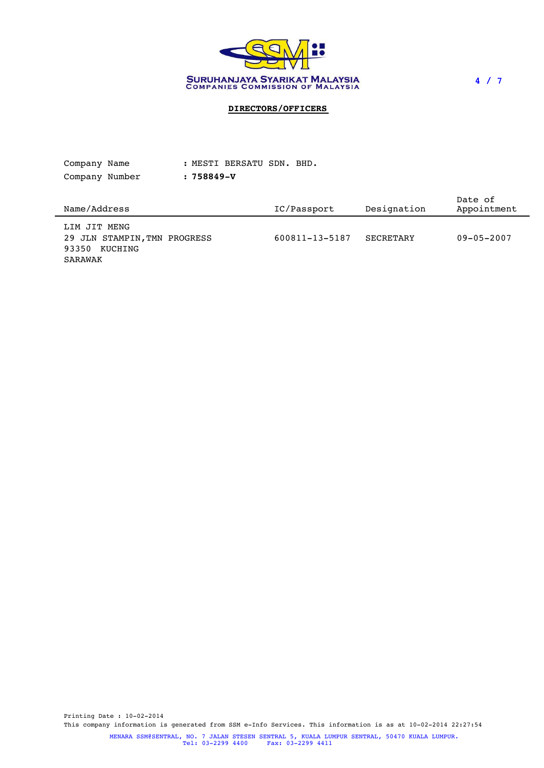

4 / 7

# **DIRECTORS/OFFICERS**

| Company Name   |  |               | : MESTI BERSATU SDN. BHD. |  |                    |  |
|----------------|--|---------------|---------------------------|--|--------------------|--|
| Company Number |  | $:758849 - V$ |                           |  |                    |  |
|                |  |               |                           |  | Data <sub>of</sub> |  |

| Name/Address                                                     | IC/Passport    | Designation | DULC UI<br>Appointment |
|------------------------------------------------------------------|----------------|-------------|------------------------|
| LIM JIT MENG<br>29 JLN STAMPIN, TMN PROGRESS<br>KUCHING<br>93350 | 600811-13-5187 | SECRETARY   | $09 - 05 - 2007$       |
| SARAWAK                                                          |                |             |                        |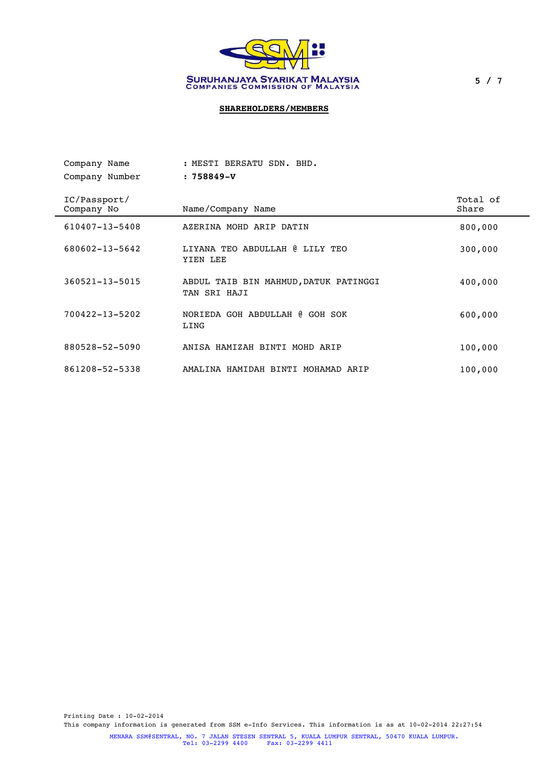

# **SHAREHOLDERS/MEMBERS**

| Company Name               | : MESTI BERSATU SDN. BHD.                             |                   |
|----------------------------|-------------------------------------------------------|-------------------|
| Company Number             | $:758849 - V$                                         |                   |
| IC/Passport/<br>Company No | Name/Company Name                                     | Total of<br>Share |
| 610407-13-5408             | AZERINA MOHD ARIP DATIN                               | 800,000           |
| 680602-13-5642             | LIYANA TEO ABDULLAH @ LILY TEO<br>YIEN LEE            | 300,000           |
| 360521-13-5015             | ABDUL TAIB BIN MAHMUD, DATUK PATINGGI<br>TAN SRI HAJI | 400,000           |
| 700422-13-5202             | NORIEDA GOH ABDULLAH @ GOH SOK<br>LING                | 600,000           |
| 880528-52-5090             | ANISA HAMIZAH BINTI MOHD ARIP                         | 100,000           |
| 861208-52-5338             | AMALINA HAMIDAH BINTI MOHAMAD ARIP                    | 100,000           |
|                            |                                                       |                   |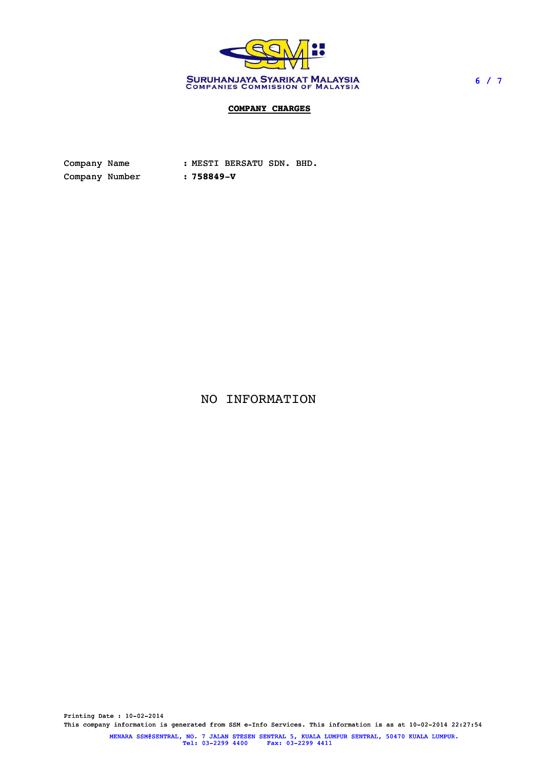

## **COMPANY CHARGES**

Company Name : MESTI BERSATU SDN. BHD. Company Number : **758849-V**

NO INFORMATION